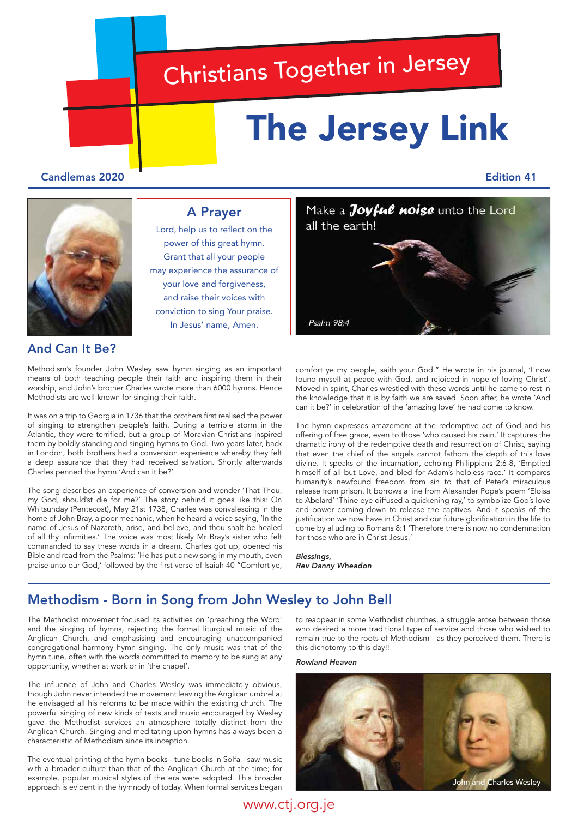# Christians Together in Jersey

all the earth!

Psalm 98:4

# The Jersey Link

## Candlemas 2020 Edition 41



# A Prayer

Lord, help us to reflect on the power of this great hymn. Grant that all your people may experience the assurance of your love and forgiveness, and raise their voices with conviction to sing Your praise. In Jesus' name, Amen.

# And Can It Be?

Methodism's founder John Wesley saw hymn singing as an important means of both teaching people their faith and inspiring them in their worship, and John's brother Charles wrote more than 6000 hymns. Hence Methodists are well-known for singing their faith.

It was on a trip to Georgia in 1736 that the brothers first realised the power of singing to strengthen people's faith. During a terrible storm in the Atlantic, they were terrified, but a group of Moravian Christians inspired them by boldly standing and singing hymns to God. Two years later, back in London, both brothers had a conversion experience whereby they felt a deep assurance that they had received salvation. Shortly afterwards Charles penned the hymn 'And can it be?'

The song describes an experience of conversion and wonder 'That Thou, my God, should'st die for me?' The story behind it goes like this: On Whitsunday (Pentecost), May 21st 1738, Charles was convalescing in the home of John Bray, a poor mechanic, when he heard a voice saying, 'In the name of Jesus of Nazareth, arise, and believe, and thou shalt be healed of all thy infirmities.' The voice was most likely Mr Bray's sister who felt commanded to say these words in a dream. Charles got up, opened his Bible and read from the Psalms: 'He has put a new song in my mouth, even praise unto our God,' followed by the first verse of Isaiah 40 "Comfort ye, comfort ye my people, saith your God." He wrote in his journal, 'I now found myself at peace with God, and rejoiced in hope of loving Christ'. Moved in spirit, Charles wrestled with these words until he came to rest in the knowledge that it is by faith we are saved. Soon after, he wrote 'And can it be?' in celebration of the 'amazing love' he had come to know.

Make a Joyful noise unto the Lord

The hymn expresses amazement at the redemptive act of God and his offering of free grace, even to those 'who caused his pain.' It captures the dramatic irony of the redemptive death and resurrection of Christ, saying that even the chief of the angels cannot fathom the depth of this love divine. It speaks of the incarnation, echoing Philippians 2:6-8, 'Emptied himself of all but Love, and bled for Adam's helpless race.' It compares humanity's newfound freedom from sin to that of Peter's miraculous release from prison. It borrows a line from Alexander Pope's poem 'Eloisa to Abelard' 'Thine eye diffused a quickening ray,' to symbolize God's love and power coming down to release the captives. And it speaks of the justification we now have in Christ and our future glorification in the life to come by alluding to Romans 8:1 'Therefore there is now no condemnation for those who are in Christ Jesus.'

## *Blessings, Rev Danny Wheadon*

# Methodism - Born in Song from John Wesley to John Bell

The Methodist movement focused its activities on 'preaching the Word' and the singing of hymns, rejecting the formal liturgical music of the Anglican Church, and emphasising and encouraging unaccompanied congregational harmony hymn singing. The only music was that of the hymn tune, often with the words committed to memory to be sung at any opportunity, whether at work or in 'the chapel'.

The influence of John and Charles Wesley was immediately obvious, though John never intended the movement leaving the Anglican umbrella; he envisaged all his reforms to be made within the existing church. The powerful singing of new kinds of texts and music encouraged by Wesley gave the Methodist services an atmosphere totally distinct from the Anglican Church. Singing and meditating upon hymns has always been a characteristic of Methodism since its inception.

The eventual printing of the hymn books - tune books in Solfa - saw music with a broader culture than that of the Anglican Church at the time; for example, popular musical styles of the era were adopted. This broader approach is evident in the hymnody of today. When formal services began

to reappear in some Methodist churches, a struggle arose between those who desired a more traditional type of service and those who wished to remain true to the roots of Methodism - as they perceived them. There is this dichotomy to this day!!

*Rowland Heaven*

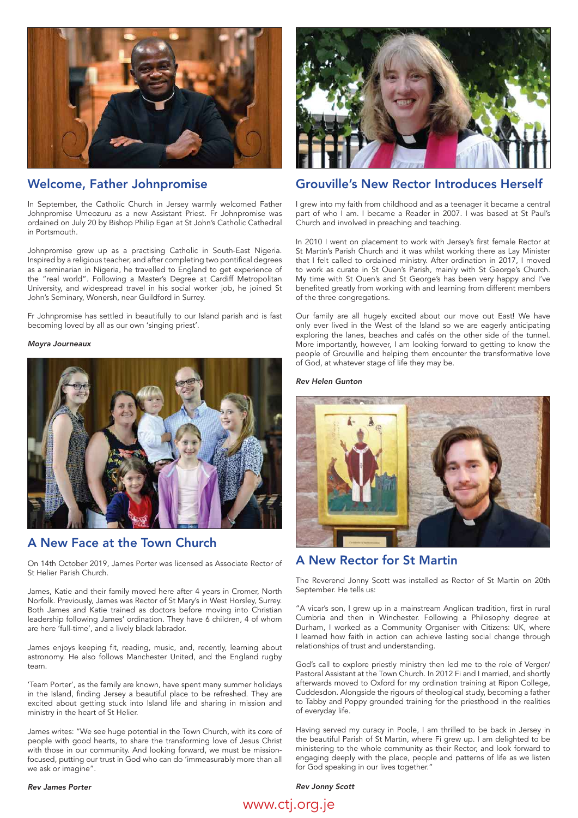

## Welcome, Father Johnpromise

In September, the Catholic Church in Jersey warmly welcomed Father Johnpromise Umeozuru as a new Assistant Priest. Fr Johnpromise was ordained on July 20 by Bishop Philip Egan at St John's Catholic Cathedral in Portsmouth.

Johnpromise grew up as a practising Catholic in South-East Nigeria. Inspired by a religious teacher, and after completing two pontifical degrees as a seminarian in Nigeria, he travelled to England to get experience of the "real world". Following a Master's Degree at Cardiff Metropolitan University, and widespread travel in his social worker job, he joined St John's Seminary, Wonersh, near Guildford in Surrey.

Fr Johnpromise has settled in beautifully to our Island parish and is fast becoming loved by all as our own 'singing priest'.

## *Moyra Journeaux*



# A New Face at the Town Church

On 14th October 2019, James Porter was licensed as Associate Rector of St Helier Parish Church.

James, Katie and their family moved here after 4 years in Cromer, North Norfolk. Previously, James was Rector of St Mary's in West Horsley, Surrey. Both James and Katie trained as doctors before moving into Christian leadership following James' ordination. They have 6 children, 4 of whom are here 'full-time', and a lively black labrador.

James enjoys keeping fit, reading, music, and, recently, learning about astronomy. He also follows Manchester United, and the England rugby team.

'Team Porter', as the family are known, have spent many summer holidays in the Island, finding Jersey a beautiful place to be refreshed. They are excited about getting stuck into Island life and sharing in mission and ministry in the heart of St Helier.

James writes: "We see huge potential in the Town Church, with its core of people with good hearts, to share the transforming love of Jesus Christ with those in our community. And looking forward, we must be missionfocused, putting our trust in God who can do 'immeasurably more than all we ask or imagine".



# Grouville's New Rector Introduces Herself

I grew into my faith from childhood and as a teenager it became a central part of who I am. I became a Reader in 2007. I was based at St Paul's Church and involved in preaching and teaching.

In 2010 I went on placement to work with Jersey's first female Rector at St Martin's Parish Church and it was whilst working there as Lay Minister that I felt called to ordained ministry. After ordination in 2017, I moved to work as curate in St Ouen's Parish, mainly with St George's Church. My time with St Ouen's and St George's has been very happy and I've benefited greatly from working with and learning from different members of the three congregations.

Our family are all hugely excited about our move out East! We have only ever lived in the West of the Island so we are eagerly anticipating exploring the lanes, beaches and cafés on the other side of the tunnel. More importantly, however, I am looking forward to getting to know the people of Grouville and helping them encounter the transformative love of God, at whatever stage of life they may be.

#### *Rev Helen Gunton*



## A New Rector for St Martin

The Reverend Jonny Scott was installed as Rector of St Martin on 20th September. He tells us:

"A vicar's son, I grew up in a mainstream Anglican tradition, first in rural Cumbria and then in Winchester. Following a Philosophy degree at Durham, I worked as a Community Organiser with Citizens: UK, where I learned how faith in action can achieve lasting social change through relationships of trust and understanding.

God's call to explore priestly ministry then led me to the role of Verger/ Pastoral Assistant at the Town Church. In 2012 Fi and I married, and shortly afterwards moved to Oxford for my ordination training at Ripon College, Cuddesdon. Alongside the rigours of theological study, becoming a father to Tabby and Poppy grounded training for the priesthood in the realities of everyday life.

Having served my curacy in Poole, I am thrilled to be back in Jersey in the beautiful Parish of St Martin, where Fi grew up. I am delighted to be ministering to the whole community as their Rector, and look forward to engaging deeply with the place, people and patterns of life as we listen for God speaking in our lives together."

*Rev Jonny Scott*

## *Rev James Porter*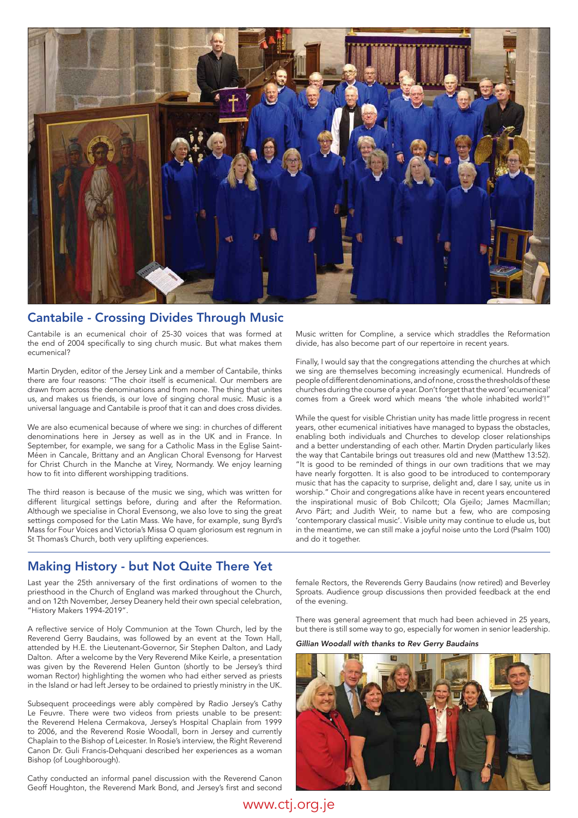

# Cantabile - Crossing Divides Through Music

Cantabile is an ecumenical choir of 25-30 voices that was formed at the end of 2004 specifically to sing church music. But what makes them ecumenical?

Martin Dryden, editor of the Jersey Link and a member of Cantabile, thinks there are four reasons: "The choir itself is ecumenical. Our members are drawn from across the denominations and from none. The thing that unites us, and makes us friends, is our love of singing choral music. Music is a universal language and Cantabile is proof that it can and does cross divides.

We are also ecumenical because of where we sing: in churches of different denominations here in Jersey as well as in the UK and in France. In September, for example, we sang for a Catholic Mass in the Eglise Saint-Méen in Cancale, Brittany and an Anglican Choral Evensong for Harvest for Christ Church in the Manche at Virey, Normandy. We enjoy learning how to fit into different worshipping traditions.

The third reason is because of the music we sing, which was written for different liturgical settings before, during and after the Reformation. Although we specialise in Choral Evensong, we also love to sing the great settings composed for the Latin Mass. We have, for example, sung Byrd's Mass for Four Voices and Victoria's Missa O quam gloriosum est regnum in St Thomas's Church, both very uplifting experiences.

Music written for Compline, a service which straddles the Reformation divide, has also become part of our repertoire in recent years.

Finally, I would say that the congregations attending the churches at which we sing are themselves becoming increasingly ecumenical. Hundreds of people of different denominations, and of none, cross the thresholds of these churches during the course of a year. Don't forget that the word 'ecumenical' comes from a Greek word which means 'the whole inhabited world'!"

While the quest for visible Christian unity has made little progress in recent years, other ecumenical initiatives have managed to bypass the obstacles, enabling both individuals and Churches to develop closer relationships and a better understanding of each other. Martin Dryden particularly likes the way that Cantabile brings out treasures old and new (Matthew 13:52). "It is good to be reminded of things in our own traditions that we may have nearly forgotten. It is also good to be introduced to contemporary music that has the capacity to surprise, delight and, dare I say, unite us in worship." Choir and congregations alike have in recent years encountered the inspirational music of Bob Chilcott; Ola Gjeilo; James Macmillan; Arvo Pärt; and Judith Weir, to name but a few, who are composing 'contemporary classical music'. Visible unity may continue to elude us, but in the meantime, we can still make a joyful noise unto the Lord (Psalm 100) and do it together.

## Making History - but Not Quite There Yet

Last year the 25th anniversary of the first ordinations of women to the priesthood in the Church of England was marked throughout the Church, and on 12th November, Jersey Deanery held their own special celebration, "History Makers 1994-2019".

A reflective service of Holy Communion at the Town Church, led by the Reverend Gerry Baudains, was followed by an event at the Town Hall, attended by H.E. the Lieutenant-Governor, Sir Stephen Dalton, and Lady Dalton. After a welcome by the Very Reverend Mike Keirle, a presentation was given by the Reverend Helen Gunton (shortly to be Jersey's third woman Rector) highlighting the women who had either served as priests in the Island or had left Jersey to be ordained to priestly ministry in the UK.

Subsequent proceedings were ably compèred by Radio Jersey's Cathy Le Feuvre. There were two videos from priests unable to be present: the Reverend Helena Cermakova, Jersey's Hospital Chaplain from 1999 to 2006, and the Reverend Rosie Woodall, born in Jersey and currently Chaplain to the Bishop of Leicester. In Rosie's interview, the Right Reverend Canon Dr. Guli Francis-Dehquani described her experiences as a woman Bishop (of Loughborough).

Cathy conducted an informal panel discussion with the Reverend Canon Geoff Houghton, the Reverend Mark Bond, and Jersey's first and second

female Rectors, the Reverends Gerry Baudains (now retired) and Beverley Sproats. Audience group discussions then provided feedback at the end of the evening.

There was general agreement that much had been achieved in 25 years, but there is still some way to go, especially for women in senior leadership.

*Gillian Woodall with thanks to Rev Gerry Baudains*

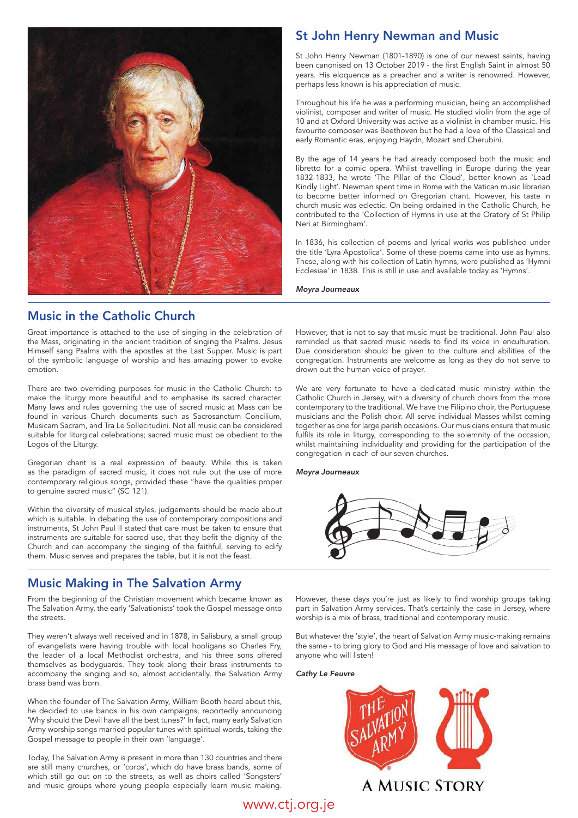

# Music in the Catholic Church

Great importance is attached to the use of singing in the celebration of the Mass, originating in the ancient tradition of singing the Psalms. Jesus Himself sang Psalms with the apostles at the Last Supper. Music is part of the symbolic language of worship and has amazing power to evoke emotion.

There are two overriding purposes for music in the Catholic Church: to make the liturgy more beautiful and to emphasise its sacred character. Many laws and rules governing the use of sacred music at Mass can be found in various Church documents such as Sacrosanctum Concilium, Musicam Sacram, and Tra Le Sollecitudini. Not all music can be considered suitable for liturgical celebrations; sacred music must be obedient to the Logos of the Liturgy.

Gregorian chant is a real expression of beauty. While this is taken as the paradigm of sacred music, it does not rule out the use of more contemporary religious songs, provided these "have the qualities proper to genuine sacred music" (SC 121).

Within the diversity of musical styles, judgements should be made about which is suitable. In debating the use of contemporary compositions and instruments, St John Paul II stated that care must be taken to ensure that instruments are suitable for sacred use, that they befit the dignity of the Church and can accompany the singing of the faithful, serving to edify them. Music serves and prepares the table, but it is not the feast.

# Music Making in The Salvation Army

From the beginning of the Christian movement which became known as The Salvation Army, the early 'Salvationists' took the Gospel message onto the streets.

They weren't always well received and in 1878, in Salisbury, a small group of evangelists were having trouble with local hooligans so Charles Fry, the leader of a local Methodist orchestra, and his three sons offered themselves as bodyguards. They took along their brass instruments to accompany the singing and so, almost accidentally, the Salvation Army brass band was born.

When the founder of The Salvation Army, William Booth heard about this, he decided to use bands in his own campaigns, reportedly announcing 'Why should the Devil have all the best tunes?' In fact, many early Salvation Army worship songs married popular tunes with spiritual words, taking the Gospel message to people in their own 'language'.

Today, The Salvation Army is present in more than 130 countries and there are still many churches, or 'corps', which do have brass bands, some of which still go out on to the streets, as well as choirs called 'Songsters' and music groups where young people especially learn music making.

# St John Henry Newman and Music

St John Henry Newman (1801-1890) is one of our newest saints, having been canonised on 13 October 2019 - the first English Saint in almost 50 years. His eloquence as a preacher and a writer is renowned. However, perhaps less known is his appreciation of music.

Throughout his life he was a performing musician, being an accomplished violinist, composer and writer of music. He studied violin from the age of 10 and at Oxford University was active as a violinist in chamber music. His favourite composer was Beethoven but he had a love of the Classical and early Romantic eras, enjoying Haydn, Mozart and Cherubini.

By the age of 14 years he had already composed both the music and libretto for a comic opera. Whilst travelling in Europe during the year 1832-1833, he wrote 'The Pillar of the Cloud', better known as 'Lead Kindly Light'. Newman spent time in Rome with the Vatican music librarian to become better informed on Gregorian chant. However, his taste in church music was eclectic. On being ordained in the Catholic Church, he contributed to the 'Collection of Hymns in use at the Oratory of St Philip Neri at Birmingham'.

In 1836, his collection of poems and lyrical works was published under the title 'Lyra Apostolica'. Some of these poems came into use as hymns. These, along with his collection of Latin hymns, were published as 'Hymni Ecclesiae' in 1838. This is still in use and available today as 'Hymns'.

*Moyra Journeaux*

However, that is not to say that music must be traditional. John Paul also reminded us that sacred music needs to find its voice in enculturation. Due consideration should be given to the culture and abilities of the congregation. Instruments are welcome as long as they do not serve to drown out the human voice of prayer.

We are very fortunate to have a dedicated music ministry within the Catholic Church in Jersey, with a diversity of church choirs from the more contemporary to the traditional. We have the Filipino choir, the Portuguese musicians and the Polish choir. All serve individual Masses whilst coming together as one for large parish occasions. Our musicians ensure that music fulfils its role in liturgy, corresponding to the solemnity of the occasion, whilst maintaining individuality and providing for the participation of the congregation in each of our seven churches.

*Moyra Journeaux*



However, these days you're just as likely to find worship groups taking part in Salvation Army services. That's certainly the case in Jersey, where worship is a mix of brass, traditional and contemporary music.

But whatever the 'style', the heart of Salvation Army music-making remains the same - to bring glory to God and His message of love and salvation to anyone who will listen!

*Cathy Le Feuvre*

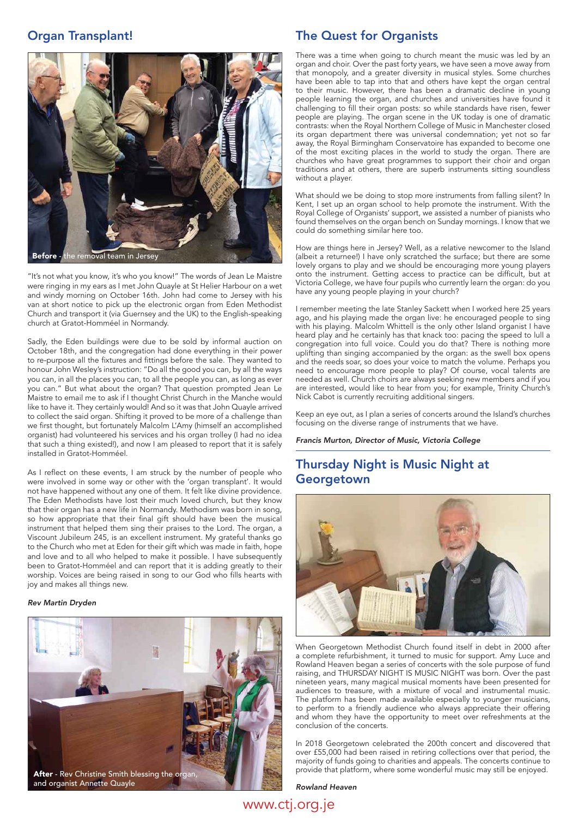## Organ Transplant!



"It's not what you know, it's who you know!" The words of Jean Le Maistre were ringing in my ears as I met John Quayle at St Helier Harbour on a wet and windy morning on October 16th. John had come to Jersey with his van at short notice to pick up the electronic organ from Eden Methodist Church and transport it (via Guernsey and the UK) to the English-speaking church at Gratot-Homméel in Normandy.

Sadly, the Eden buildings were due to be sold by informal auction on October 18th, and the congregation had done everything in their power to re-purpose all the fixtures and fittings before the sale. They wanted to honour John Wesley's instruction: "Do all the good you can, by all the ways you can, in all the places you can, to all the people you can, as long as ever you can." But what about the organ? That question prompted Jean Le Maistre to email me to ask if I thought Christ Church in the Manche would like to have it. They certainly would! And so it was that John Quayle arrived to collect the said organ. Shifting it proved to be more of a challenge than we first thought, but fortunately Malcolm L'Amy (himself an accomplished organist) had volunteered his services and his organ trolley (I had no idea that such a thing existed!), and now I am pleased to report that it is safely installed in Gratot-Homméel.

As I reflect on these events, I am struck by the number of people who were involved in some way or other with the 'organ transplant'. It would not have happened without any one of them. It felt like divine providence. The Eden Methodists have lost their much loved church, but they know that their organ has a new life in Normandy. Methodism was born in song, so how appropriate that their final gift should have been the musical instrument that helped them sing their praises to the Lord. The organ, a Viscount Jubileum 245, is an excellent instrument. My grateful thanks go to the Church who met at Eden for their gift which was made in faith, hope and love and to all who helped to make it possible. I have subsequently been to Gratot-Homméel and can report that it is adding greatly to their worship. Voices are being raised in song to our God who fills hearts with joy and makes all things new.

## *Rev Martin Dryden*



## The Quest for Organists

There was a time when going to church meant the music was led by an organ and choir. Over the past forty years, we have seen a move away from that monopoly, and a greater diversity in musical styles. Some churches have been able to tap into that and others have kept the organ central to their music. However, there has been a dramatic decline in young people learning the organ, and churches and universities have found it challenging to fill their organ posts: so while standards have risen, fewer people are playing. The organ scene in the UK today is one of dramatic contrasts: when the Royal Northern College of Music in Manchester closed its organ department there was universal condemnation; yet not so far away, the Royal Birmingham Conservatoire has expanded to become one of the most exciting places in the world to study the organ. There are churches who have great programmes to support their choir and organ traditions and at others, there are superb instruments sitting soundless without a player.

What should we be doing to stop more instruments from falling silent? In Kent, I set up an organ school to help promote the instrument. With the Royal College of Organists' support, we assisted a number of pianists who found themselves on the organ bench on Sunday mornings. I know that we could do something similar here too.

How are things here in Jersey? Well, as a relative newcomer to the Island (albeit a returnee!) I have only scratched the surface; but there are some lovely organs to play and we should be encouraging more young players onto the instrument. Getting access to practice can be difficult, but at Victoria College, we have four pupils who currently learn the organ: do you have any young people playing in your church?

I remember meeting the late Stanley Sackett when I worked here 25 years ago, and his playing made the organ live: he encouraged people to sing with his playing. Malcolm Whittell is the only other Island organist I have heard play and he certainly has that knack too: pacing the speed to lull a congregation into full voice. Could you do that? There is nothing more uplifting than singing accompanied by the organ: as the swell box opens and the reeds soar, so does your voice to match the volume. Perhaps you need to encourage more people to play? Of course, vocal talents are needed as well. Church choirs are always seeking new members and if you are interested, would like to hear from you; for example, Trinity Church's Nick Cabot is currently recruiting additional singers.

Keep an eye out, as I plan a series of concerts around the Island's churches focusing on the diverse range of instruments that we have.

*Francis Murton, Director of Music, Victoria College*

# Thursday Night is Music Night at **Georgetown**



When Georgetown Methodist Church found itself in debt in 2000 after a complete refurbishment, it turned to music for support. Amy Luce and Rowland Heaven began a series of concerts with the sole purpose of fund raising, and THURSDAY NIGHT IS MUSIC NIGHT was born. Over the past nineteen years, many magical musical moments have been presented for audiences to treasure, with a mixture of vocal and instrumental music. The platform has been made available especially to younger musicians, to perform to a friendly audience who always appreciate their offering and whom they have the opportunity to meet over refreshments at the conclusion of the concerts.

In 2018 Georgetown celebrated the 200th concert and discovered that over £55,000 had been raised in retiring collections over that period, the majority of funds going to charities and appeals. The concerts continue to provide that platform, where some wonderful music may still be enjoyed.

*Rowland Heaven*